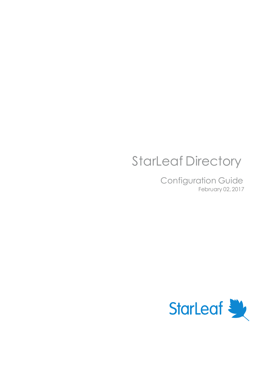# StarLeaf Directory

Configuration Guide February 02, 2017

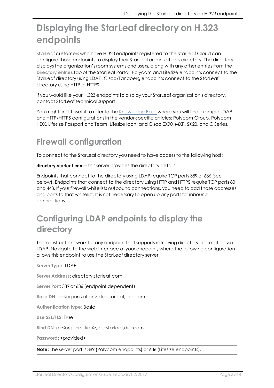## **Displaying the StarLeaf directory on H.323 endpoints**

StarLeaf customers who have H.323 endpoints registered to the StarLeaf Cloud can configure those endpoints to display their StarLeaf organization's directory. The directory displays the organization's room systems and users, along with any other entries from the **Directory entries** tab of the StarLeaf Portal. Polycom and Lifesize endpoints connect to the StarLeaf directory using LDAP. Cisco/Tandberg endpoints connect to the StarLeaf directory using HTTP or HTTPS.

If you would like your H.323 endpoints to display your StarLeaf organization's directory, contact StarLeaf technical support.

You might find it useful to refer to the [Knowledge](http://support.starleaf.com/) Base where you will find example LDAP and HTTP/HTTPS configurations in the vendor-specific articles: Polycom Group, Polycom HDX, Lifesize Passport and Team, Lifesize Icon, and Cisco EX90, MXP, SX20, and C Series.

### **Firewall configuration**

To connect to the StarLeaf directory you need to have access to the following host:

directory.starleaf.com - this server provides the directory details

Endpoints that connect to the directory using LDAP require TCP ports 389 or 636 (see below). Endpoints that connect to the directory using HTTP and HTTPS require TCP ports 80 and 443. If your firewall whitelists outbound connections, you need to add those addresses and ports to that whitelist. It is not necessary to open up any ports for inbound connections.

### **Configuring LDAP endpoints to display the directory**

These instructions work for any endpoint that supports retrieving directory information via LDAP. Navigate to the web interface of your endpoint, where the following configuration allows this endpoint to use the StarLeaf directory server.

**Server Type**: LDAP

**Server Address**: directory.starleaf.com

**Server Port**: 389 or 636 (endpoint dependent)

**Base DN**: o=<organization>,dc=starleaf,dc=com

**Authentication type**: Basic

**Use SSL/TLS**: True

**Bind DN**: o=<organization>,dc=starleaf,dc=com

**Password: <provided>** 

**Note:** The server port is 389 (Polycom endpoints) or 636 (Lifesize endpoints).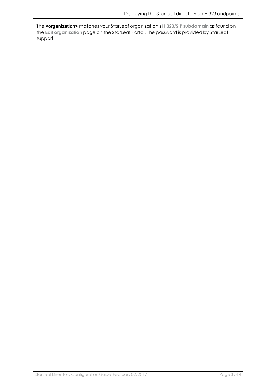The <organization> matches your StarLeaf organization's **H.323/SIP subdomain** as found on the **Edit organization** page on the StarLeaf Portal. The password is provided by StarLeaf support.